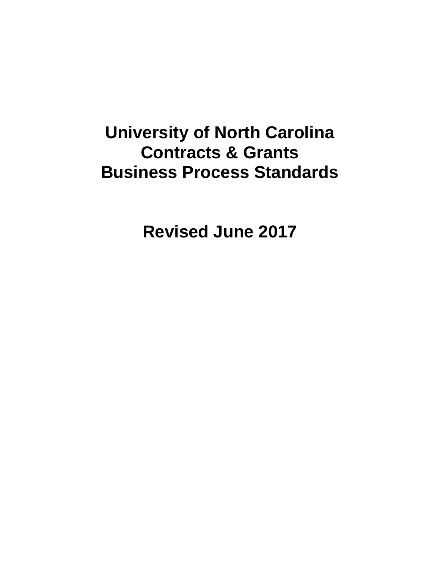# **University of North Carolina Contracts & Grants Business Process Standards**

**Revised June 2017**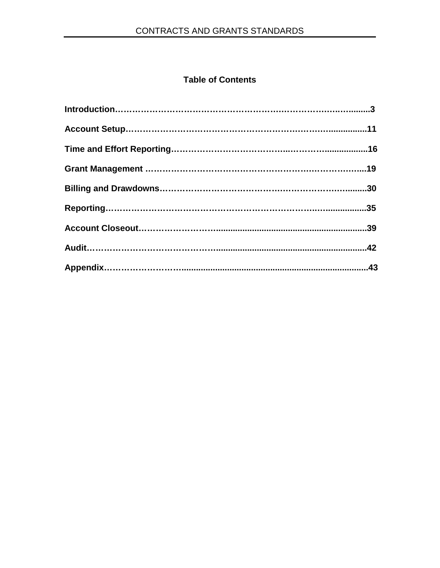# **Table of Contents**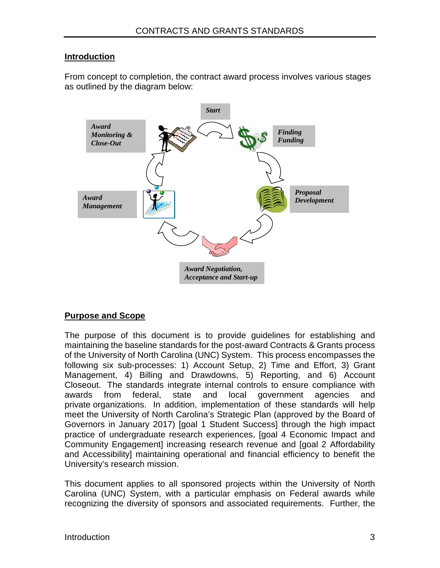#### **Introduction**

From concept to completion, the contract award process involves various stages as outlined by the diagram below:



# **Purpose and Scope**

The purpose of this document is to provide guidelines for establishing and maintaining the baseline standards for the post-award Contracts & Grants process of the University of North Carolina (UNC) System. This process encompasses the following six sub-processes: 1) Account Setup, 2) Time and Effort, 3) Grant Management, 4) Billing and Drawdowns, 5) Reporting, and 6) Account Closeout. The standards integrate internal controls to ensure compliance with awards from federal, state and local government agencies and private organizations. In addition, implementation of these standards will help meet the University of North Carolina's Strategic Plan (approved by the Board of Governors in January 2017) [goal 1 Student Success] through the high impact practice of undergraduate research experiences, [goal 4 Economic Impact and Community Engagement] increasing research revenue and [goal 2 Affordability and Accessibility] maintaining operational and financial efficiency to benefit the University's research mission.

This document applies to all sponsored projects within the University of North Carolina (UNC) System, with a particular emphasis on Federal awards while recognizing the diversity of sponsors and associated requirements. Further, the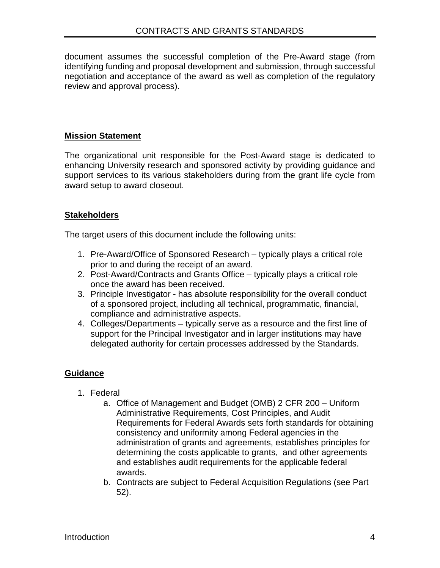document assumes the successful completion of the Pre-Award stage (from identifying funding and proposal development and submission, through successful negotiation and acceptance of the award as well as completion of the regulatory review and approval process).

## **Mission Statement**

The organizational unit responsible for the Post-Award stage is dedicated to enhancing University research and sponsored activity by providing guidance and support services to its various stakeholders during from the grant life cycle from award setup to award closeout.

## **Stakeholders**

The target users of this document include the following units:

- 1. Pre-Award/Office of Sponsored Research typically plays a critical role prior to and during the receipt of an award.
- 2. Post-Award/Contracts and Grants Office typically plays a critical role once the award has been received.
- 3. Principle Investigator has absolute responsibility for the overall conduct of a sponsored project, including all technical, programmatic, financial, compliance and administrative aspects.
- 4. Colleges/Departments typically serve as a resource and the first line of support for the Principal Investigator and in larger institutions may have delegated authority for certain processes addressed by the Standards.

## **Guidance**

- 1. Federal
	- a. Office of Management and Budget (OMB) 2 CFR 200 Uniform Administrative Requirements, Cost Principles, and Audit Requirements for Federal Awards sets forth standards for obtaining consistency and uniformity among Federal agencies in the administration of grants and agreements, establishes principles for determining the costs applicable to grants, and other agreements and establishes audit requirements for the applicable federal awards.
	- b. Contracts are subject to Federal Acquisition Regulations (see Part 52).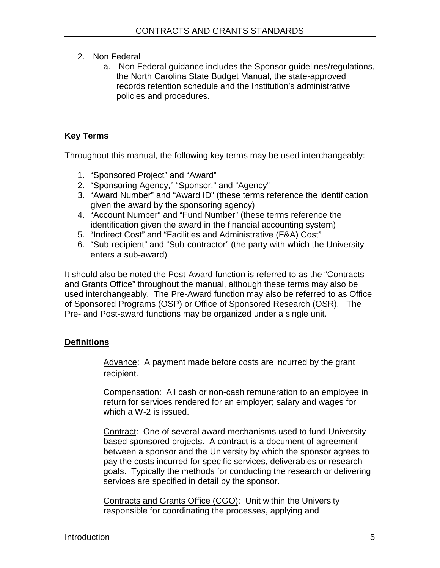- 2. Non Federal
	- a. Non Federal guidance includes the Sponsor guidelines/regulations, the North Carolina State Budget Manual, the state-approved records retention schedule and the Institution's administrative policies and procedures.

# **Key Terms**

Throughout this manual, the following key terms may be used interchangeably:

- 1. "Sponsored Project" and "Award"
- 2. "Sponsoring Agency," "Sponsor," and "Agency"
- 3. "Award Number" and "Award ID" (these terms reference the identification given the award by the sponsoring agency)
- 4. "Account Number" and "Fund Number" (these terms reference the identification given the award in the financial accounting system)
- 5. "Indirect Cost" and "Facilities and Administrative (F&A) Cost"
- 6. "Sub-recipient" and "Sub-contractor" (the party with which the University enters a sub-award)

It should also be noted the Post-Award function is referred to as the "Contracts and Grants Office" throughout the manual, although these terms may also be used interchangeably. The Pre-Award function may also be referred to as Office of Sponsored Programs (OSP) or Office of Sponsored Research (OSR). The Pre- and Post-award functions may be organized under a single unit.

# **Definitions**

Advance: A payment made before costs are incurred by the grant recipient.

Compensation: All cash or non-cash remuneration to an employee in return for services rendered for an employer; salary and wages for which a W-2 is issued.

Contract: One of several award mechanisms used to fund Universitybased sponsored projects. A contract is a document of agreement between a sponsor and the University by which the sponsor agrees to pay the costs incurred for specific services, deliverables or research goals. Typically the methods for conducting the research or delivering services are specified in detail by the sponsor.

Contracts and Grants Office (CGO): Unit within the University responsible for coordinating the processes, applying and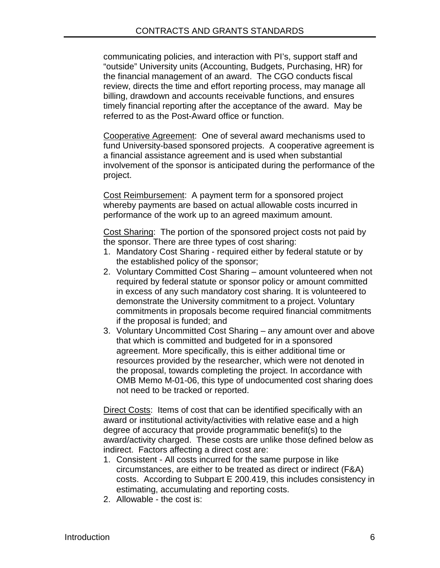communicating policies, and interaction with PI's, support staff and "outside" University units (Accounting, Budgets, Purchasing, HR) for the financial management of an award. The CGO conducts fiscal review, directs the time and effort reporting process, may manage all billing, drawdown and accounts receivable functions, and ensures timely financial reporting after the acceptance of the award. May be referred to as the Post-Award office or function.

Cooperative Agreement: One of several award mechanisms used to fund University-based sponsored projects. A cooperative agreement is a financial assistance agreement and is used when substantial involvement of the sponsor is anticipated during the performance of the project.

Cost Reimbursement: A payment term for a sponsored project whereby payments are based on actual allowable costs incurred in performance of the work up to an agreed maximum amount.

Cost Sharing: The portion of the sponsored project costs not paid by the sponsor. There are three types of cost sharing:

- 1. Mandatory Cost Sharing required either by federal statute or by the established policy of the sponsor;
- 2. Voluntary Committed Cost Sharing amount volunteered when not required by federal statute or sponsor policy or amount committed in excess of any such mandatory cost sharing. It is volunteered to demonstrate the University commitment to a project. Voluntary commitments in proposals become required financial commitments if the proposal is funded; and
- 3. Voluntary Uncommitted Cost Sharing any amount over and above that which is committed and budgeted for in a sponsored agreement. More specifically, this is either additional time or resources provided by the researcher, which were not denoted in the proposal, towards completing the project. In accordance with OMB Memo M-01-06, this type of undocumented cost sharing does not need to be tracked or reported.

Direct Costs: Items of cost that can be identified specifically with an award or institutional activity/activities with relative ease and a high degree of accuracy that provide programmatic benefit(s) to the award/activity charged. These costs are unlike those defined below as indirect. Factors affecting a direct cost are:

- 1. Consistent All costs incurred for the same purpose in like circumstances, are either to be treated as direct or indirect (F&A) costs. According to Subpart E 200.419, this includes consistency in estimating, accumulating and reporting costs.
- 2. Allowable the cost is: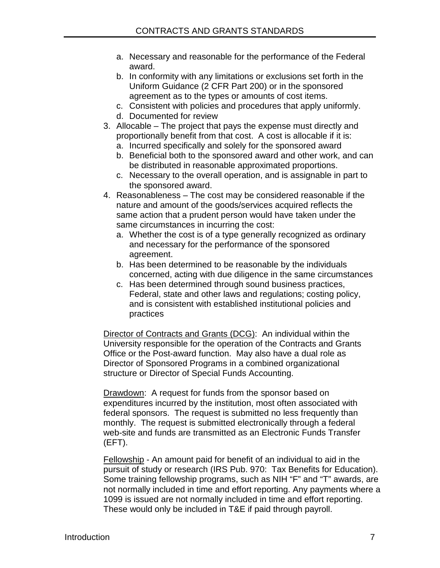- a. Necessary and reasonable for the performance of the Federal award.
- b. In conformity with any limitations or exclusions set forth in the Uniform Guidance (2 CFR Part 200) or in the sponsored agreement as to the types or amounts of cost items.
- c. Consistent with policies and procedures that apply uniformly.
- d. Documented for review
- 3. Allocable The project that pays the expense must directly and proportionally benefit from that cost. A cost is allocable if it is:
	- a. Incurred specifically and solely for the sponsored award
	- b. Beneficial both to the sponsored award and other work, and can be distributed in reasonable approximated proportions.
	- c. Necessary to the overall operation, and is assignable in part to the sponsored award.
- 4. Reasonableness The cost may be considered reasonable if the nature and amount of the goods/services acquired reflects the same action that a prudent person would have taken under the same circumstances in incurring the cost:
	- a. Whether the cost is of a type generally recognized as ordinary and necessary for the performance of the sponsored agreement.
	- b. Has been determined to be reasonable by the individuals concerned, acting with due diligence in the same circumstances
	- c. Has been determined through sound business practices, Federal, state and other laws and regulations; costing policy, and is consistent with established institutional policies and practices

Director of Contracts and Grants (DCG): An individual within the University responsible for the operation of the Contracts and Grants Office or the Post-award function. May also have a dual role as Director of Sponsored Programs in a combined organizational structure or Director of Special Funds Accounting.

Drawdown: A request for funds from the sponsor based on expenditures incurred by the institution, most often associated with federal sponsors. The request is submitted no less frequently than monthly. The request is submitted electronically through a federal web-site and funds are transmitted as an Electronic Funds Transfer (EFT).

Fellowship - An amount paid for benefit of an individual to aid in the pursuit of study or research (IRS Pub. 970: Tax Benefits for Education). Some training fellowship programs, such as NIH "F" and "T" awards, are not normally included in time and effort reporting. Any payments where a 1099 is issued are not normally included in time and effort reporting. These would only be included in T&E if paid through payroll.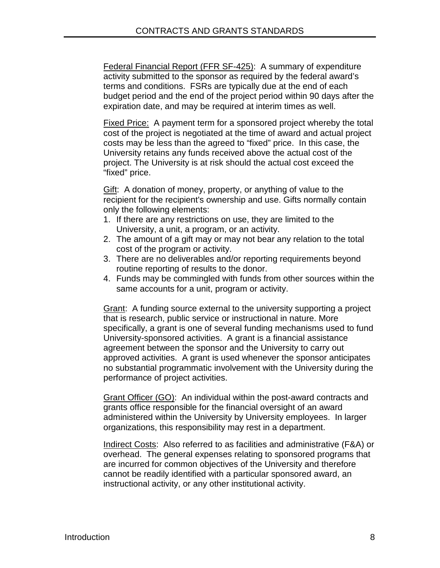Federal Financial Report (FFR SF-425): A summary of expenditure activity submitted to the sponsor as required by the federal award's terms and conditions. FSRs are typically due at the end of each budget period and the end of the project period within 90 days after the expiration date, and may be required at interim times as well.

Fixed Price: A payment term for a sponsored project whereby the total cost of the project is negotiated at the time of award and actual project costs may be less than the agreed to "fixed" price. In this case, the University retains any funds received above the actual cost of the project. The University is at risk should the actual cost exceed the "fixed" price.

Gift: A donation of money, property, or anything of value to the recipient for the recipient's ownership and use. Gifts normally contain only the following elements:

- 1. If there are any restrictions on use, they are limited to the University, a unit, a program, or an activity.
- 2. The amount of a gift may or may not bear any relation to the total cost of the program or activity.
- 3. There are no deliverables and/or reporting requirements beyond routine reporting of results to the donor.
- 4. Funds may be commingled with funds from other sources within the same accounts for a unit, program or activity.

Grant: A funding source external to the university supporting a project that is research, public service or instructional in nature. More specifically, a grant is one of several funding mechanisms used to fund University-sponsored activities. A grant is a financial assistance agreement between the sponsor and the University to carry out approved activities. A grant is used whenever the sponsor anticipates no substantial programmatic involvement with the University during the performance of project activities.

Grant Officer (GO): An individual within the post-award contracts and grants office responsible for the financial oversight of an award administered within the University by University employees. In larger organizations, this responsibility may rest in a department.

Indirect Costs: Also referred to as facilities and administrative (F&A) or overhead. The general expenses relating to sponsored programs that are incurred for common objectives of the University and therefore cannot be readily identified with a particular sponsored award, an instructional activity, or any other institutional activity.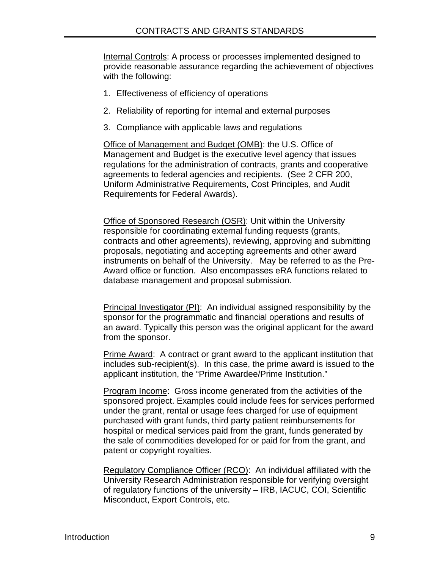Internal Controls: A process or processes implemented designed to provide reasonable assurance regarding the achievement of objectives with the following:

- 1. Effectiveness of efficiency of operations
- 2. Reliability of reporting for internal and external purposes
- 3. Compliance with applicable laws and regulations

Office of Management and Budget (OMB): the U.S. Office of Management and Budget is the executive level agency that issues regulations for the administration of contracts, grants and cooperative agreements to federal agencies and recipients. (See 2 CFR 200, Uniform Administrative Requirements, Cost Principles, and Audit Requirements for Federal Awards).

Office of Sponsored Research (OSR): Unit within the University responsible for coordinating external funding requests (grants, contracts and other agreements), reviewing, approving and submitting proposals, negotiating and accepting agreements and other award instruments on behalf of the University. May be referred to as the Pre-Award office or function. Also encompasses eRA functions related to database management and proposal submission.

Principal Investigator (PI): An individual assigned responsibility by the sponsor for the programmatic and financial operations and results of an award. Typically this person was the original applicant for the award from the sponsor.

Prime Award: A contract or grant award to the applicant institution that includes sub-recipient(s). In this case, the prime award is issued to the applicant institution, the "Prime Awardee/Prime Institution."

Program Income: Gross income generated from the activities of the sponsored project. Examples could include fees for services performed under the grant, rental or usage fees charged for use of equipment purchased with grant funds, third party patient reimbursements for hospital or medical services paid from the grant, funds generated by the sale of commodities developed for or paid for from the grant, and patent or copyright royalties.

Regulatory Compliance Officer (RCO): An individual affiliated with the University Research Administration responsible for verifying oversight of regulatory functions of the university – IRB, IACUC, COI, Scientific Misconduct, Export Controls, etc.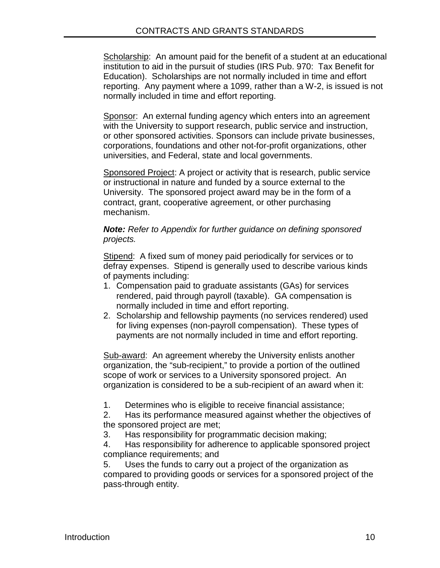Scholarship: An amount paid for the benefit of a student at an educational institution to aid in the pursuit of studies (IRS Pub. 970: Tax Benefit for Education). Scholarships are not normally included in time and effort reporting. Any payment where a 1099, rather than a W-2, is issued is not normally included in time and effort reporting.

Sponsor: An external funding agency which enters into an agreement with the University to support research, public service and instruction, or other sponsored activities. Sponsors can include private businesses, corporations, foundations and other not-for-profit organizations, other universities, and Federal, state and local governments.

Sponsored Project: A project or activity that is research, public service or instructional in nature and funded by a source external to the University. The sponsored project award may be in the form of a contract, grant, cooperative agreement, or other purchasing mechanism.

#### *Note: Refer to Appendix for further guidance on defining sponsored projects.*

Stipend: A fixed sum of money paid periodically for services or to defray expenses. Stipend is generally used to describe various kinds of payments including:

- 1. Compensation paid to graduate assistants (GAs) for services rendered, paid through payroll (taxable). GA compensation is normally included in time and effort reporting.
- 2. Scholarship and fellowship payments (no services rendered) used for living expenses (non-payroll compensation). These types of payments are not normally included in time and effort reporting.

Sub-award: An agreement whereby the University enlists another organization, the "sub-recipient," to provide a portion of the outlined scope of work or services to a University sponsored project. An organization is considered to be a sub-recipient of an award when it:

1. Determines who is eligible to receive financial assistance;

2. Has its performance measured against whether the objectives of the sponsored project are met;

3. Has responsibility for programmatic decision making;

4. Has responsibility for adherence to applicable sponsored project compliance requirements; and

5. Uses the funds to carry out a project of the organization as compared to providing goods or services for a sponsored project of the pass-through entity.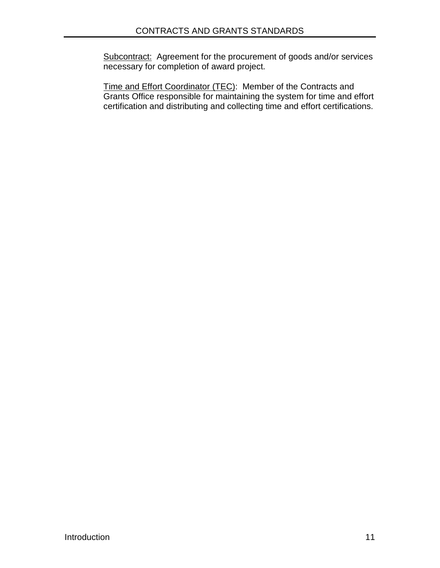Subcontract: Agreement for the procurement of goods and/or services necessary for completion of award project.

Time and Effort Coordinator (TEC): Member of the Contracts and Grants Office responsible for maintaining the system for time and effort certification and distributing and collecting time and effort certifications.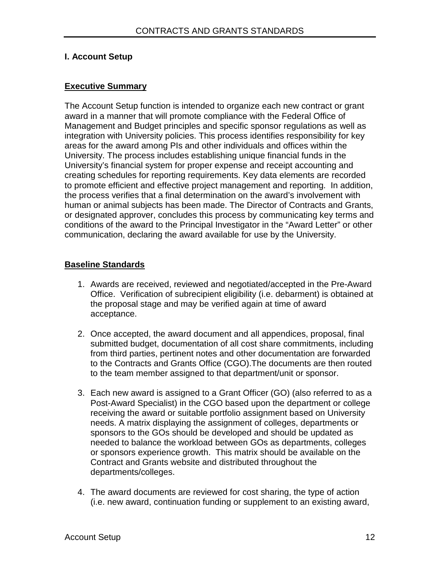# **I. Account Setup**

# **Executive Summary**

The Account Setup function is intended to organize each new contract or grant award in a manner that will promote compliance with the Federal Office of Management and Budget principles and specific sponsor regulations as well as integration with University policies. This process identifies responsibility for key areas for the award among PIs and other individuals and offices within the University. The process includes establishing unique financial funds in the University's financial system for proper expense and receipt accounting and creating schedules for reporting requirements. Key data elements are recorded to promote efficient and effective project management and reporting. In addition, the process verifies that a final determination on the award's involvement with human or animal subjects has been made. The Director of Contracts and Grants, or designated approver, concludes this process by communicating key terms and conditions of the award to the Principal Investigator in the "Award Letter" or other communication, declaring the award available for use by the University.

## **Baseline Standards**

- 1. Awards are received, reviewed and negotiated/accepted in the Pre-Award Office. Verification of subrecipient eligibility (i.e. debarment) is obtained at the proposal stage and may be verified again at time of award acceptance.
- 2. Once accepted, the award document and all appendices, proposal, final submitted budget, documentation of all cost share commitments, including from third parties, pertinent notes and other documentation are forwarded to the Contracts and Grants Office (CGO).The documents are then routed to the team member assigned to that department/unit or sponsor.
- 3. Each new award is assigned to a Grant Officer (GO) (also referred to as a Post-Award Specialist) in the CGO based upon the department or college receiving the award or suitable portfolio assignment based on University needs. A matrix displaying the assignment of colleges, departments or sponsors to the GOs should be developed and should be updated as needed to balance the workload between GOs as departments, colleges or sponsors experience growth. This matrix should be available on the Contract and Grants website and distributed throughout the departments/colleges.
- 4. The award documents are reviewed for cost sharing, the type of action (i.e. new award, continuation funding or supplement to an existing award,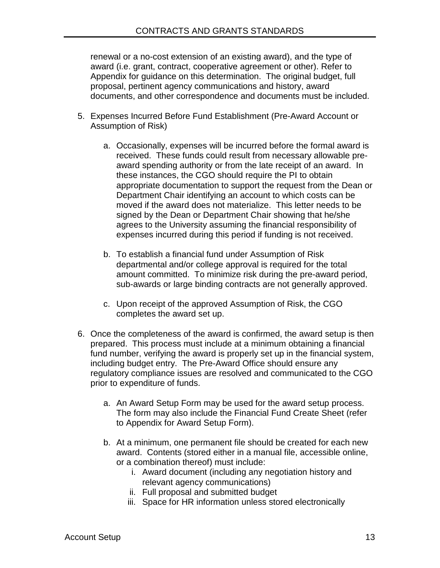renewal or a no-cost extension of an existing award), and the type of award (i.e. grant, contract, cooperative agreement or other). Refer to Appendix for guidance on this determination. The original budget, full proposal, pertinent agency communications and history, award documents, and other correspondence and documents must be included.

- 5. Expenses Incurred Before Fund Establishment (Pre-Award Account or Assumption of Risk)
	- a. Occasionally, expenses will be incurred before the formal award is received. These funds could result from necessary allowable preaward spending authority or from the late receipt of an award. In these instances, the CGO should require the PI to obtain appropriate documentation to support the request from the Dean or Department Chair identifying an account to which costs can be moved if the award does not materialize. This letter needs to be signed by the Dean or Department Chair showing that he/she agrees to the University assuming the financial responsibility of expenses incurred during this period if funding is not received.
	- b. To establish a financial fund under Assumption of Risk departmental and/or college approval is required for the total amount committed. To minimize risk during the pre-award period, sub-awards or large binding contracts are not generally approved.
	- c. Upon receipt of the approved Assumption of Risk, the CGO completes the award set up.
- 6. Once the completeness of the award is confirmed, the award setup is then prepared. This process must include at a minimum obtaining a financial fund number, verifying the award is properly set up in the financial system, including budget entry. The Pre-Award Office should ensure any regulatory compliance issues are resolved and communicated to the CGO prior to expenditure of funds.
	- a. An Award Setup Form may be used for the award setup process. The form may also include the Financial Fund Create Sheet (refer to Appendix for Award Setup Form).
	- b. At a minimum, one permanent file should be created for each new award. Contents (stored either in a manual file, accessible online, or a combination thereof) must include:
		- i. Award document (including any negotiation history and relevant agency communications)
		- ii. Full proposal and submitted budget
		- iii. Space for HR information unless stored electronically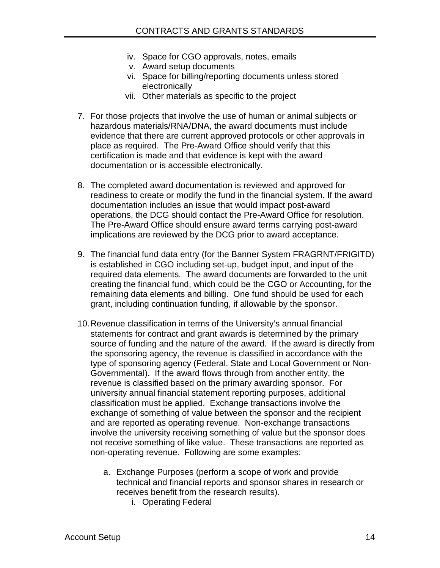- iv. Space for CGO approvals, notes, emails
- v. Award setup documents
- vi. Space for billing/reporting documents unless stored electronically
- vii. Other materials as specific to the project
- 7. For those projects that involve the use of human or animal subjects or hazardous materials/RNA/DNA, the award documents must include evidence that there are current approved protocols or other approvals in place as required. The Pre-Award Office should verify that this certification is made and that evidence is kept with the award documentation or is accessible electronically.
- 8. The completed award documentation is reviewed and approved for readiness to create or modify the fund in the financial system. If the award documentation includes an issue that would impact post-award operations, the DCG should contact the Pre-Award Office for resolution. The Pre-Award Office should ensure award terms carrying post-award implications are reviewed by the DCG prior to award acceptance.
- 9. The financial fund data entry (for the Banner System FRAGRNT/FRIGITD) is established in CGO including set-up, budget input, and input of the required data elements. The award documents are forwarded to the unit creating the financial fund, which could be the CGO or Accounting, for the remaining data elements and billing. One fund should be used for each grant, including continuation funding, if allowable by the sponsor.
- 10.Revenue classification in terms of the University's annual financial statements for contract and grant awards is determined by the primary source of funding and the nature of the award. If the award is directly from the sponsoring agency, the revenue is classified in accordance with the type of sponsoring agency (Federal, State and Local Government or Non-Governmental). If the award flows through from another entity, the revenue is classified based on the primary awarding sponsor. For university annual financial statement reporting purposes, additional classification must be applied. Exchange transactions involve the exchange of something of value between the sponsor and the recipient and are reported as operating revenue. Non-exchange transactions involve the university receiving something of value but the sponsor does not receive something of like value. These transactions are reported as non-operating revenue. Following are some examples:
	- a. Exchange Purposes (perform a scope of work and provide technical and financial reports and sponsor shares in research or receives benefit from the research results).
		- i. Operating Federal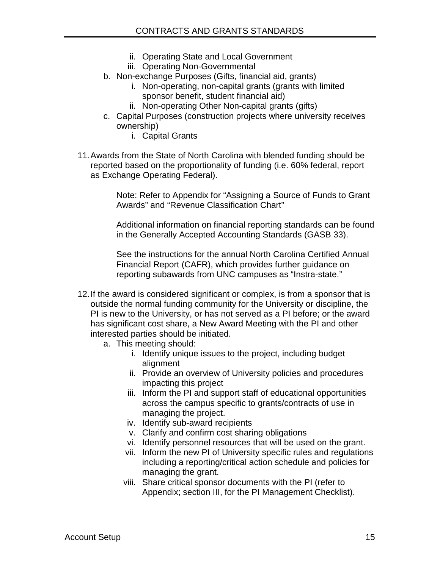- ii. Operating State and Local Government
- iii. Operating Non-Governmental
- b. Non-exchange Purposes (Gifts, financial aid, grants)
	- i. Non-operating, non-capital grants (grants with limited sponsor benefit, student financial aid)
	- ii. Non-operating Other Non-capital grants (gifts)
- c. Capital Purposes (construction projects where university receives ownership)
	- i. Capital Grants
- 11.Awards from the State of North Carolina with blended funding should be reported based on the proportionality of funding (i.e. 60% federal, report as Exchange Operating Federal).

Note: Refer to Appendix for "Assigning a Source of Funds to Grant Awards" and "Revenue Classification Chart"

Additional information on financial reporting standards can be found in the Generally Accepted Accounting Standards (GASB 33).

See the instructions for the annual North Carolina Certified Annual Financial Report (CAFR), which provides further guidance on reporting subawards from UNC campuses as "Instra-state."

- 12.If the award is considered significant or complex, is from a sponsor that is outside the normal funding community for the University or discipline, the PI is new to the University, or has not served as a PI before; or the award has significant cost share, a New Award Meeting with the PI and other interested parties should be initiated.
	- a. This meeting should:
		- i. Identify unique issues to the project, including budget alignment
		- ii. Provide an overview of University policies and procedures impacting this project
		- iii. Inform the PI and support staff of educational opportunities across the campus specific to grants/contracts of use in managing the project.
		- iv. Identify sub-award recipients
		- v. Clarify and confirm cost sharing obligations
		- vi. Identify personnel resources that will be used on the grant.
		- vii. Inform the new PI of University specific rules and regulations including a reporting/critical action schedule and policies for managing the grant.
		- viii. Share critical sponsor documents with the PI (refer to Appendix; section III, for the PI Management Checklist).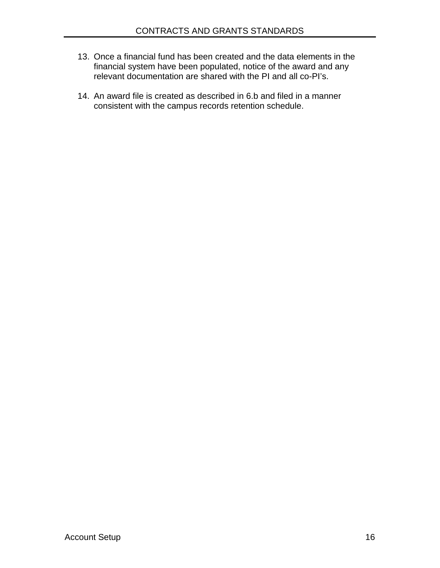- 13. Once a financial fund has been created and the data elements in the financial system have been populated, notice of the award and any relevant documentation are shared with the PI and all co-PI's.
- 14. An award file is created as described in 6.b and filed in a manner consistent with the campus records retention schedule.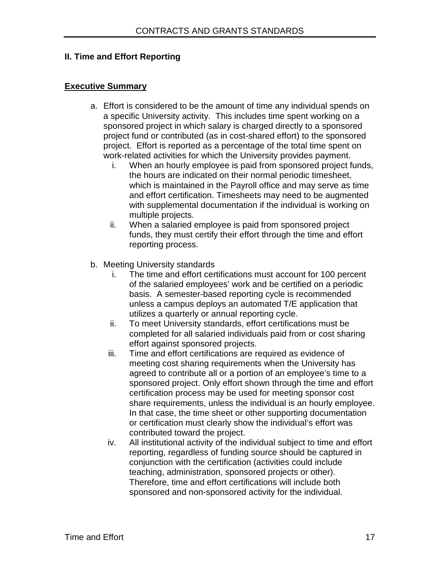## **II. Time and Effort Reporting**

#### **Executive Summary**

- a. Effort is considered to be the amount of time any individual spends on a specific University activity. This includes time spent working on a sponsored project in which salary is charged directly to a sponsored project fund or contributed (as in cost-shared effort) to the sponsored project. Effort is reported as a percentage of the total time spent on work-related activities for which the University provides payment.
	- i. When an hourly employee is paid from sponsored project funds, the hours are indicated on their normal periodic timesheet, which is maintained in the Payroll office and may serve as time and effort certification. Timesheets may need to be augmented with supplemental documentation if the individual is working on multiple projects.
	- ii. When a salaried employee is paid from sponsored project funds, they must certify their effort through the time and effort reporting process.
- b. Meeting University standards
	- i. The time and effort certifications must account for 100 percent of the salaried employees' work and be certified on a periodic basis. A semester-based reporting cycle is recommended unless a campus deploys an automated T/E application that utilizes a quarterly or annual reporting cycle.
	- ii. To meet University standards, effort certifications must be completed for all salaried individuals paid from or cost sharing effort against sponsored projects.
	- iii. Time and effort certifications are required as evidence of meeting cost sharing requirements when the University has agreed to contribute all or a portion of an employee's time to a sponsored project. Only effort shown through the time and effort certification process may be used for meeting sponsor cost share requirements, unless the individual is an hourly employee. In that case, the time sheet or other supporting documentation or certification must clearly show the individual's effort was contributed toward the project.
	- iv. All institutional activity of the individual subject to time and effort reporting, regardless of funding source should be captured in conjunction with the certification (activities could include teaching, administration, sponsored projects or other). Therefore, time and effort certifications will include both sponsored and non-sponsored activity for the individual.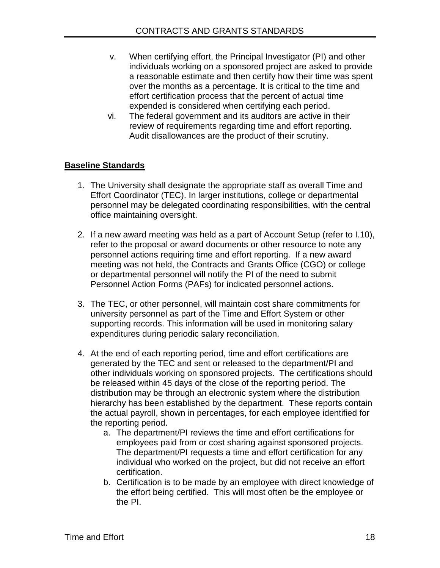- v. When certifying effort, the Principal Investigator (PI) and other individuals working on a sponsored project are asked to provide a reasonable estimate and then certify how their time was spent over the months as a percentage. It is critical to the time and effort certification process that the percent of actual time expended is considered when certifying each period.
- vi. The federal government and its auditors are active in their review of requirements regarding time and effort reporting. Audit disallowances are the product of their scrutiny.

# **Baseline Standards**

- 1. The University shall designate the appropriate staff as overall Time and Effort Coordinator (TEC). In larger institutions, college or departmental personnel may be delegated coordinating responsibilities, with the central office maintaining oversight.
- 2. If a new award meeting was held as a part of Account Setup (refer to I.10), refer to the proposal or award documents or other resource to note any personnel actions requiring time and effort reporting. If a new award meeting was not held, the Contracts and Grants Office (CGO) or college or departmental personnel will notify the PI of the need to submit Personnel Action Forms (PAFs) for indicated personnel actions.
- 3. The TEC, or other personnel, will maintain cost share commitments for university personnel as part of the Time and Effort System or other supporting records. This information will be used in monitoring salary expenditures during periodic salary reconciliation.
- 4. At the end of each reporting period, time and effort certifications are generated by the TEC and sent or released to the department/PI and other individuals working on sponsored projects. The certifications should be released within 45 days of the close of the reporting period. The distribution may be through an electronic system where the distribution hierarchy has been established by the department. These reports contain the actual payroll, shown in percentages, for each employee identified for the reporting period.
	- a. The department/PI reviews the time and effort certifications for employees paid from or cost sharing against sponsored projects. The department/PI requests a time and effort certification for any individual who worked on the project, but did not receive an effort certification.
	- b. Certification is to be made by an employee with direct knowledge of the effort being certified. This will most often be the employee or the PI.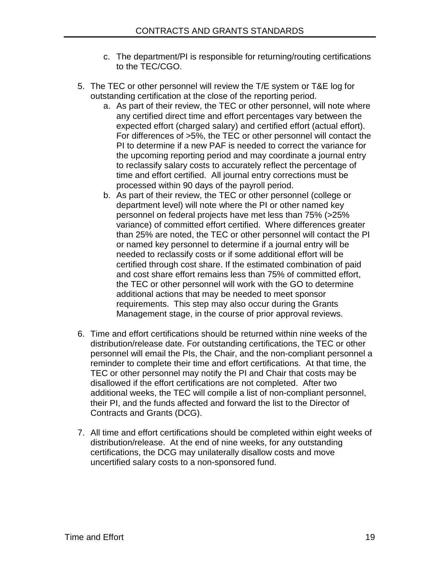- c. The department/PI is responsible for returning/routing certifications to the TEC/CGO.
- 5. The TEC or other personnel will review the T/E system or T&E log for outstanding certification at the close of the reporting period.
	- a. As part of their review, the TEC or other personnel, will note where any certified direct time and effort percentages vary between the expected effort (charged salary) and certified effort (actual effort). For differences of >5%, the TEC or other personnel will contact the PI to determine if a new PAF is needed to correct the variance for the upcoming reporting period and may coordinate a journal entry to reclassify salary costs to accurately reflect the percentage of time and effort certified. All journal entry corrections must be processed within 90 days of the payroll period.
	- b. As part of their review, the TEC or other personnel (college or department level) will note where the PI or other named key personnel on federal projects have met less than 75% (>25% variance) of committed effort certified. Where differences greater than 25% are noted, the TEC or other personnel will contact the PI or named key personnel to determine if a journal entry will be needed to reclassify costs or if some additional effort will be certified through cost share. If the estimated combination of paid and cost share effort remains less than 75% of committed effort, the TEC or other personnel will work with the GO to determine additional actions that may be needed to meet sponsor requirements. This step may also occur during the Grants Management stage, in the course of prior approval reviews.
- 6. Time and effort certifications should be returned within nine weeks of the distribution/release date. For outstanding certifications, the TEC or other personnel will email the PIs, the Chair, and the non-compliant personnel a reminder to complete their time and effort certifications. At that time, the TEC or other personnel may notify the PI and Chair that costs may be disallowed if the effort certifications are not completed. After two additional weeks, the TEC will compile a list of non-compliant personnel, their PI, and the funds affected and forward the list to the Director of Contracts and Grants (DCG).
- 7. All time and effort certifications should be completed within eight weeks of distribution/release. At the end of nine weeks, for any outstanding certifications, the DCG may unilaterally disallow costs and move uncertified salary costs to a non-sponsored fund.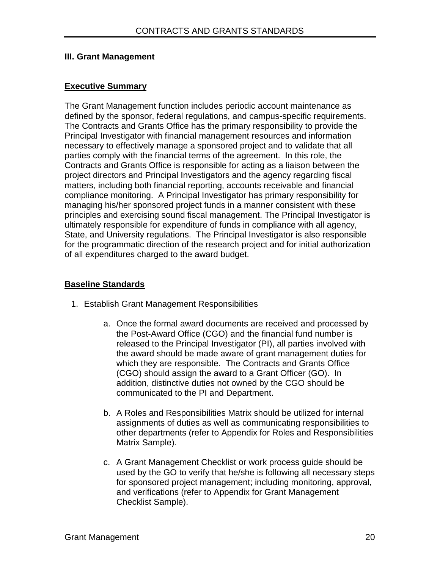#### **III. Grant Management**

#### **Executive Summary**

The Grant Management function includes periodic account maintenance as defined by the sponsor, federal regulations, and campus-specific requirements. The Contracts and Grants Office has the primary responsibility to provide the Principal Investigator with financial management resources and information necessary to effectively manage a sponsored project and to validate that all parties comply with the financial terms of the agreement. In this role, the Contracts and Grants Office is responsible for acting as a liaison between the project directors and Principal Investigators and the agency regarding fiscal matters, including both financial reporting, accounts receivable and financial compliance monitoring. A Principal Investigator has primary responsibility for managing his/her sponsored project funds in a manner consistent with these principles and exercising sound fiscal management. The Principal Investigator is ultimately responsible for expenditure of funds in compliance with all agency, State, and University regulations. The Principal Investigator is also responsible for the programmatic direction of the research project and for initial authorization of all expenditures charged to the award budget.

#### **Baseline Standards**

- 1. Establish Grant Management Responsibilities
	- a. Once the formal award documents are received and processed by the Post-Award Office (CGO) and the financial fund number is released to the Principal Investigator (PI), all parties involved with the award should be made aware of grant management duties for which they are responsible. The Contracts and Grants Office (CGO) should assign the award to a Grant Officer (GO). In addition, distinctive duties not owned by the CGO should be communicated to the PI and Department.
	- b. A Roles and Responsibilities Matrix should be utilized for internal assignments of duties as well as communicating responsibilities to other departments (refer to Appendix for Roles and Responsibilities Matrix Sample).
	- c. A Grant Management Checklist or work process guide should be used by the GO to verify that he/she is following all necessary steps for sponsored project management; including monitoring, approval, and verifications (refer to Appendix for Grant Management Checklist Sample).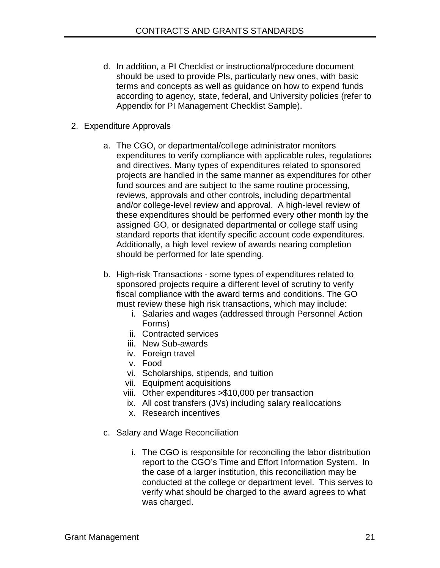- d. In addition, a PI Checklist or instructional/procedure document should be used to provide PIs, particularly new ones, with basic terms and concepts as well as guidance on how to expend funds according to agency, state, federal, and University policies (refer to Appendix for PI Management Checklist Sample).
- 2. Expenditure Approvals
	- a. The CGO, or departmental/college administrator monitors expenditures to verify compliance with applicable rules, regulations and directives. Many types of expenditures related to sponsored projects are handled in the same manner as expenditures for other fund sources and are subject to the same routine processing, reviews, approvals and other controls, including departmental and/or college-level review and approval. A high-level review of these expenditures should be performed every other month by the assigned GO, or designated departmental or college staff using standard reports that identify specific account code expenditures. Additionally, a high level review of awards nearing completion should be performed for late spending.
	- b. High-risk Transactions some types of expenditures related to sponsored projects require a different level of scrutiny to verify fiscal compliance with the award terms and conditions. The GO must review these high risk transactions, which may include:
		- i. Salaries and wages (addressed through Personnel Action Forms)
		- ii. Contracted services
		- iii. New Sub-awards
		- iv. Foreign travel
		- v. Food
		- vi. Scholarships, stipends, and tuition
		- vii. Equipment acquisitions
		- viii. Other expenditures >\$10,000 per transaction
		- ix. All cost transfers (JVs) including salary reallocations
		- x. Research incentives
	- c. Salary and Wage Reconciliation
		- i. The CGO is responsible for reconciling the labor distribution report to the CGO's Time and Effort Information System. In the case of a larger institution, this reconciliation may be conducted at the college or department level. This serves to verify what should be charged to the award agrees to what was charged.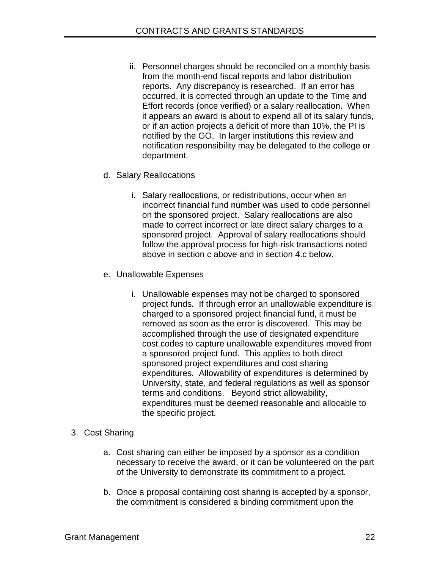- ii. Personnel charges should be reconciled on a monthly basis from the month-end fiscal reports and labor distribution reports. Any discrepancy is researched. If an error has occurred, it is corrected through an update to the Time and Effort records (once verified) or a salary reallocation. When it appears an award is about to expend all of its salary funds, or if an action projects a deficit of more than 10%, the PI is notified by the GO. In larger institutions this review and notification responsibility may be delegated to the college or department.
- d. Salary Reallocations
	- i. Salary reallocations, or redistributions, occur when an incorrect financial fund number was used to code personnel on the sponsored project. Salary reallocations are also made to correct incorrect or late direct salary charges to a sponsored project. Approval of salary reallocations should follow the approval process for high-risk transactions noted above in section c above and in section 4.c below.
- e. Unallowable Expenses
	- i. Unallowable expenses may not be charged to sponsored project funds. If through error an unallowable expenditure is charged to a sponsored project financial fund, it must be removed as soon as the error is discovered. This may be accomplished through the use of designated expenditure cost codes to capture unallowable expenditures moved from a sponsored project fund. This applies to both direct sponsored project expenditures and cost sharing expenditures. Allowability of expenditures is determined by University, state, and federal regulations as well as sponsor terms and conditions. Beyond strict allowability, expenditures must be deemed reasonable and allocable to the specific project.
- 3. Cost Sharing
	- a. Cost sharing can either be imposed by a sponsor as a condition necessary to receive the award, or it can be volunteered on the part of the University to demonstrate its commitment to a project.
	- b. Once a proposal containing cost sharing is accepted by a sponsor, the commitment is considered a binding commitment upon the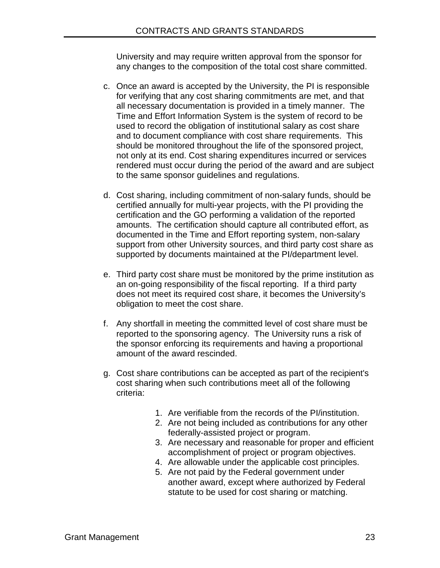University and may require written approval from the sponsor for any changes to the composition of the total cost share committed.

- c. Once an award is accepted by the University, the PI is responsible for verifying that any cost sharing commitments are met, and that all necessary documentation is provided in a timely manner. The Time and Effort Information System is the system of record to be used to record the obligation of institutional salary as cost share and to document compliance with cost share requirements. This should be monitored throughout the life of the sponsored project, not only at its end. Cost sharing expenditures incurred or services rendered must occur during the period of the award and are subject to the same sponsor guidelines and regulations.
- d. Cost sharing, including commitment of non-salary funds, should be certified annually for multi-year projects, with the PI providing the certification and the GO performing a validation of the reported amounts. The certification should capture all contributed effort, as documented in the Time and Effort reporting system, non-salary support from other University sources, and third party cost share as supported by documents maintained at the PI/department level.
- e. Third party cost share must be monitored by the prime institution as an on-going responsibility of the fiscal reporting. If a third party does not meet its required cost share, it becomes the University's obligation to meet the cost share.
- f. Any shortfall in meeting the committed level of cost share must be reported to the sponsoring agency. The University runs a risk of the sponsor enforcing its requirements and having a proportional amount of the award rescinded.
- g. Cost share contributions can be accepted as part of the recipient's cost sharing when such contributions meet all of the following criteria:
	- 1. Are verifiable from the records of the PI/institution.
	- 2. Are not being included as contributions for any other federally-assisted project or program.
	- 3. Are necessary and reasonable for proper and efficient accomplishment of project or program objectives.
	- 4. Are allowable under the applicable cost principles.
	- 5. Are not paid by the Federal government under another award, except where authorized by Federal statute to be used for cost sharing or matching.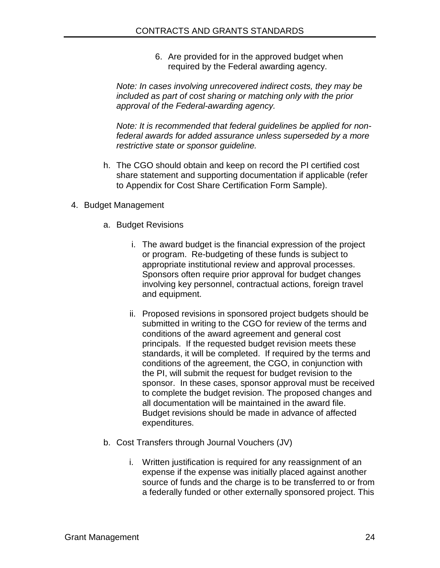6. Are provided for in the approved budget when required by the Federal awarding agency.

*Note: In cases involving unrecovered indirect costs, they may be included as part of cost sharing or matching only with the prior approval of the Federal-awarding agency.* 

*Note: It is recommended that federal guidelines be applied for nonfederal awards for added assurance unless superseded by a more restrictive state or sponsor guideline.* 

- h. The CGO should obtain and keep on record the PI certified cost share statement and supporting documentation if applicable (refer to Appendix for Cost Share Certification Form Sample).
- 4. Budget Management
	- a. Budget Revisions
		- i. The award budget is the financial expression of the project or program. Re-budgeting of these funds is subject to appropriate institutional review and approval processes. Sponsors often require prior approval for budget changes involving key personnel, contractual actions, foreign travel and equipment.
		- ii. Proposed revisions in sponsored project budgets should be submitted in writing to the CGO for review of the terms and conditions of the award agreement and general cost principals. If the requested budget revision meets these standards, it will be completed. If required by the terms and conditions of the agreement, the CGO, in conjunction with the PI, will submit the request for budget revision to the sponsor. In these cases, sponsor approval must be received to complete the budget revision. The proposed changes and all documentation will be maintained in the award file. Budget revisions should be made in advance of affected expenditures.
	- b. Cost Transfers through Journal Vouchers (JV)
		- i. Written justification is required for any reassignment of an expense if the expense was initially placed against another source of funds and the charge is to be transferred to or from a federally funded or other externally sponsored project. This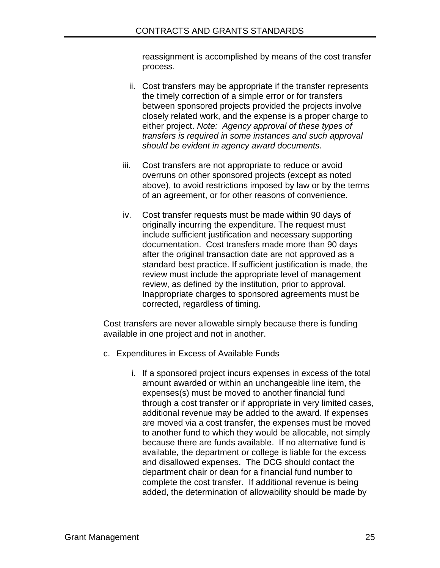reassignment is accomplished by means of the cost transfer process.

- ii. Cost transfers may be appropriate if the transfer represents the timely correction of a simple error or for transfers between sponsored projects provided the projects involve closely related work, and the expense is a proper charge to either project. *Note: Agency approval of these types of transfers is required in some instances and such approval should be evident in agency award documents.*
- iii. Cost transfers are not appropriate to reduce or avoid overruns on other sponsored projects (except as noted above), to avoid restrictions imposed by law or by the terms of an agreement, or for other reasons of convenience.
- iv. Cost transfer requests must be made within 90 days of originally incurring the expenditure. The request must include sufficient justification and necessary supporting documentation. Cost transfers made more than 90 days after the original transaction date are not approved as a standard best practice. If sufficient justification is made, the review must include the appropriate level of management review, as defined by the institution, prior to approval. Inappropriate charges to sponsored agreements must be corrected, regardless of timing.

Cost transfers are never allowable simply because there is funding available in one project and not in another.

- c. Expenditures in Excess of Available Funds
	- i. If a sponsored project incurs expenses in excess of the total amount awarded or within an unchangeable line item, the expenses(s) must be moved to another financial fund through a cost transfer or if appropriate in very limited cases, additional revenue may be added to the award. If expenses are moved via a cost transfer, the expenses must be moved to another fund to which they would be allocable, not simply because there are funds available. If no alternative fund is available, the department or college is liable for the excess and disallowed expenses. The DCG should contact the department chair or dean for a financial fund number to complete the cost transfer. If additional revenue is being added, the determination of allowability should be made by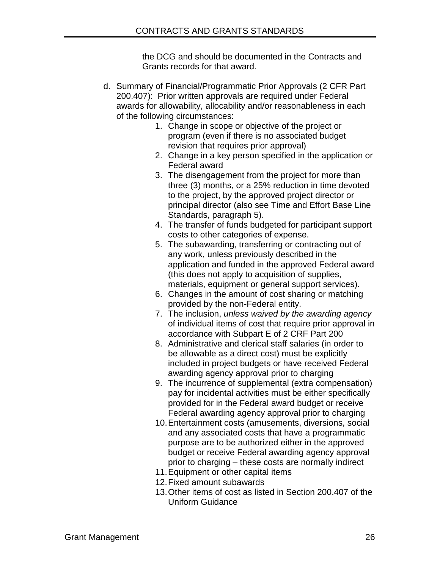the DCG and should be documented in the Contracts and Grants records for that award.

- d. Summary of Financial/Programmatic Prior Approvals (2 CFR Part 200.407): Prior written approvals are required under Federal awards for allowability, allocability and/or reasonableness in each of the following circumstances:
	- 1. Change in scope or objective of the project or program (even if there is no associated budget revision that requires prior approval)
	- 2. Change in a key person specified in the application or Federal award
	- 3. The disengagement from the project for more than three (3) months, or a 25% reduction in time devoted to the project, by the approved project director or principal director (also see Time and Effort Base Line Standards, paragraph 5).
	- 4. The transfer of funds budgeted for participant support costs to other categories of expense.
	- 5. The subawarding, transferring or contracting out of any work, unless previously described in the application and funded in the approved Federal award (this does not apply to acquisition of supplies, materials, equipment or general support services).
	- 6. Changes in the amount of cost sharing or matching provided by the non-Federal entity.
	- 7. The inclusion, *unless waived by the awarding agency* of individual items of cost that require prior approval in accordance with Subpart E of 2 CRF Part 200
	- 8. Administrative and clerical staff salaries (in order to be allowable as a direct cost) must be explicitly included in project budgets or have received Federal awarding agency approval prior to charging
	- 9. The incurrence of supplemental (extra compensation) pay for incidental activities must be either specifically provided for in the Federal award budget or receive Federal awarding agency approval prior to charging
	- 10.Entertainment costs (amusements, diversions, social and any associated costs that have a programmatic purpose are to be authorized either in the approved budget or receive Federal awarding agency approval prior to charging – these costs are normally indirect
	- 11.Equipment or other capital items
	- 12.Fixed amount subawards
	- 13.Other items of cost as listed in Section 200.407 of the Uniform Guidance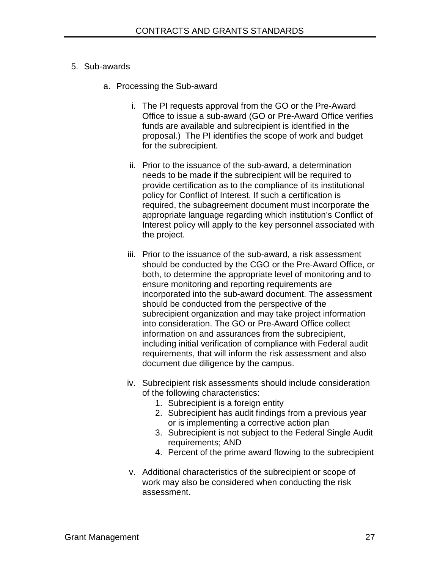#### 5. Sub-awards

- a. Processing the Sub-award
	- i. The PI requests approval from the GO or the Pre-Award Office to issue a sub-award (GO or Pre-Award Office verifies funds are available and subrecipient is identified in the proposal.) The PI identifies the scope of work and budget for the subrecipient.
	- ii. Prior to the issuance of the sub-award, a determination needs to be made if the subrecipient will be required to provide certification as to the compliance of its institutional policy for Conflict of Interest. If such a certification is required, the subagreement document must incorporate the appropriate language regarding which institution's Conflict of Interest policy will apply to the key personnel associated with the project.
	- iii. Prior to the issuance of the sub-award, a risk assessment should be conducted by the CGO or the Pre-Award Office, or both, to determine the appropriate level of monitoring and to ensure monitoring and reporting requirements are incorporated into the sub-award document. The assessment should be conducted from the perspective of the subrecipient organization and may take project information into consideration. The GO or Pre-Award Office collect information on and assurances from the subrecipient, including initial verification of compliance with Federal audit requirements, that will inform the risk assessment and also document due diligence by the campus.
	- iv. Subrecipient risk assessments should include consideration of the following characteristics:
		- 1. Subrecipient is a foreign entity
		- 2. Subrecipient has audit findings from a previous year or is implementing a corrective action plan
		- 3. Subrecipient is not subject to the Federal Single Audit requirements; AND
		- 4. Percent of the prime award flowing to the subrecipient
	- v. Additional characteristics of the subrecipient or scope of work may also be considered when conducting the risk assessment.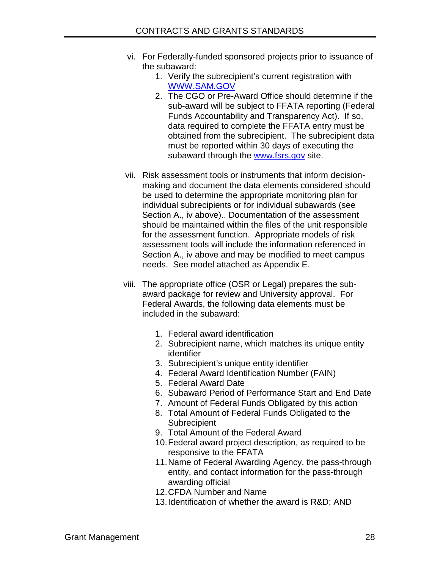- vi. For Federally-funded sponsored projects prior to issuance of the subaward:
	- 1. Verify the subrecipient's current registration with [WWW.SAM.GOV](http://www.sam.gov/)
	- 2. The CGO or Pre-Award Office should determine if the sub-award will be subject to FFATA reporting (Federal Funds Accountability and Transparency Act). If so, data required to complete the FFATA entry must be obtained from the subrecipient. The subrecipient data must be reported within 30 days of executing the subaward through the [www.fsrs.gov](http://www.fsrs.gov/) site.
- vii. Risk assessment tools or instruments that inform decisionmaking and document the data elements considered should be used to determine the appropriate monitoring plan for individual subrecipients or for individual subawards (see Section A., iv above).. Documentation of the assessment should be maintained within the files of the unit responsible for the assessment function. Appropriate models of risk assessment tools will include the information referenced in Section A., iv above and may be modified to meet campus needs. See model attached as Appendix E.
- viii. The appropriate office (OSR or Legal) prepares the subaward package for review and University approval. For Federal Awards, the following data elements must be included in the subaward:
	- 1. Federal award identification
	- 2. Subrecipient name, which matches its unique entity identifier
	- 3. Subrecipient's unique entity identifier
	- 4. Federal Award Identification Number (FAIN)
	- 5. Federal Award Date
	- 6. Subaward Period of Performance Start and End Date
	- 7. Amount of Federal Funds Obligated by this action
	- 8. Total Amount of Federal Funds Obligated to the **Subrecipient**
	- 9. Total Amount of the Federal Award
	- 10.Federal award project description, as required to be responsive to the FFATA
	- 11.Name of Federal Awarding Agency, the pass-through entity, and contact information for the pass-through awarding official
	- 12.CFDA Number and Name
	- 13.Identification of whether the award is R&D; AND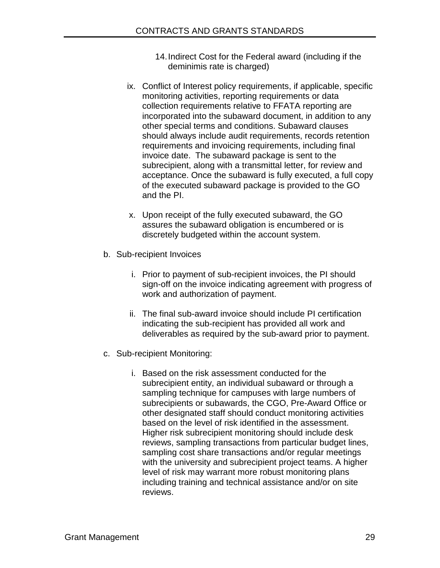- 14.Indirect Cost for the Federal award (including if the deminimis rate is charged)
- ix. Conflict of Interest policy requirements, if applicable, specific monitoring activities, reporting requirements or data collection requirements relative to FFATA reporting are incorporated into the subaward document, in addition to any other special terms and conditions. Subaward clauses should always include audit requirements, records retention requirements and invoicing requirements, including final invoice date. The subaward package is sent to the subrecipient, along with a transmittal letter, for review and acceptance. Once the subaward is fully executed, a full copy of the executed subaward package is provided to the GO and the PI.
- x. Upon receipt of the fully executed subaward, the GO assures the subaward obligation is encumbered or is discretely budgeted within the account system.
- b. Sub-recipient Invoices
	- i. Prior to payment of sub-recipient invoices, the PI should sign-off on the invoice indicating agreement with progress of work and authorization of payment.
	- ii. The final sub-award invoice should include PI certification indicating the sub-recipient has provided all work and deliverables as required by the sub-award prior to payment.
- c. Sub-recipient Monitoring:
	- i. Based on the risk assessment conducted for the subrecipient entity, an individual subaward or through a sampling technique for campuses with large numbers of subrecipients or subawards, the CGO, Pre-Award Office or other designated staff should conduct monitoring activities based on the level of risk identified in the assessment. Higher risk subrecipient monitoring should include desk reviews, sampling transactions from particular budget lines, sampling cost share transactions and/or regular meetings with the university and subrecipient project teams. A higher level of risk may warrant more robust monitoring plans including training and technical assistance and/or on site reviews.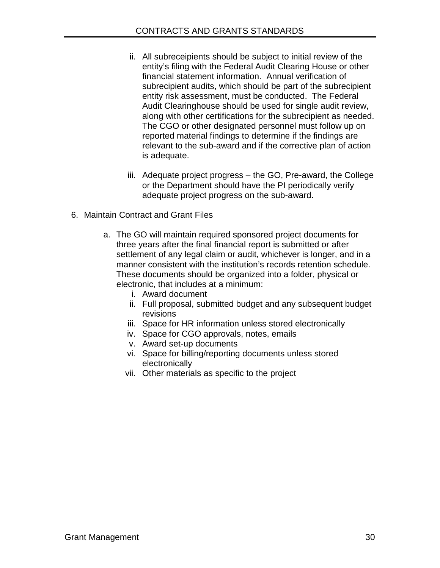- ii. All subreceipients should be subject to initial review of the entity's filing with the Federal Audit Clearing House or other financial statement information. Annual verification of subrecipient audits, which should be part of the subrecipient entity risk assessment, must be conducted. The Federal Audit Clearinghouse should be used for single audit review, along with other certifications for the subrecipient as needed. The CGO or other designated personnel must follow up on reported material findings to determine if the findings are relevant to the sub-award and if the corrective plan of action is adequate.
- iii. Adequate project progress the GO, Pre-award, the College or the Department should have the PI periodically verify adequate project progress on the sub-award.
- 6. Maintain Contract and Grant Files
	- a. The GO will maintain required sponsored project documents for three years after the final financial report is submitted or after settlement of any legal claim or audit, whichever is longer, and in a manner consistent with the institution's records retention schedule. These documents should be organized into a folder, physical or electronic, that includes at a minimum:
		- i. Award document
		- ii. Full proposal, submitted budget and any subsequent budget revisions
		- iii. Space for HR information unless stored electronically
		- iv. Space for CGO approvals, notes, emails
		- v. Award set-up documents
		- vi. Space for billing/reporting documents unless stored electronically
		- vii. Other materials as specific to the project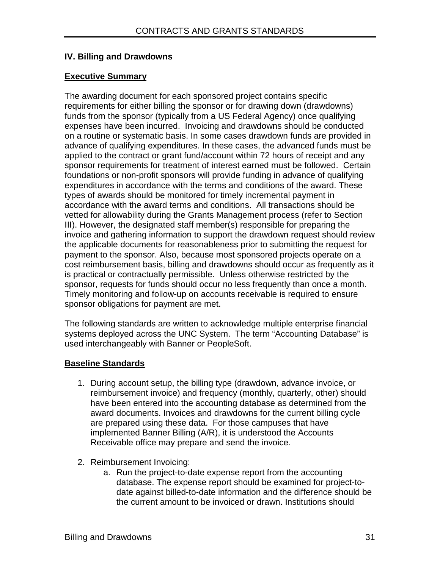## **IV. Billing and Drawdowns**

# **Executive Summary**

The awarding document for each sponsored project contains specific requirements for either billing the sponsor or for drawing down (drawdowns) funds from the sponsor (typically from a US Federal Agency) once qualifying expenses have been incurred. Invoicing and drawdowns should be conducted on a routine or systematic basis. In some cases drawdown funds are provided in advance of qualifying expenditures. In these cases, the advanced funds must be applied to the contract or grant fund/account within 72 hours of receipt and any sponsor requirements for treatment of interest earned must be followed. Certain foundations or non-profit sponsors will provide funding in advance of qualifying expenditures in accordance with the terms and conditions of the award. These types of awards should be monitored for timely incremental payment in accordance with the award terms and conditions. All transactions should be vetted for allowability during the Grants Management process (refer to Section III). However, the designated staff member(s) responsible for preparing the invoice and gathering information to support the drawdown request should review the applicable documents for reasonableness prior to submitting the request for payment to the sponsor. Also, because most sponsored projects operate on a cost reimbursement basis, billing and drawdowns should occur as frequently as it is practical or contractually permissible. Unless otherwise restricted by the sponsor, requests for funds should occur no less frequently than once a month. Timely monitoring and follow-up on accounts receivable is required to ensure sponsor obligations for payment are met.

The following standards are written to acknowledge multiple enterprise financial systems deployed across the UNC System. The term "Accounting Database" is used interchangeably with Banner or PeopleSoft.

## **Baseline Standards**

- 1. During account setup, the billing type (drawdown, advance invoice, or reimbursement invoice) and frequency (monthly, quarterly, other) should have been entered into the accounting database as determined from the award documents. Invoices and drawdowns for the current billing cycle are prepared using these data. For those campuses that have implemented Banner Billing (A/R), it is understood the Accounts Receivable office may prepare and send the invoice.
- 2. Reimbursement Invoicing:
	- a. Run the project-to-date expense report from the accounting database. The expense report should be examined for project-todate against billed-to-date information and the difference should be the current amount to be invoiced or drawn. Institutions should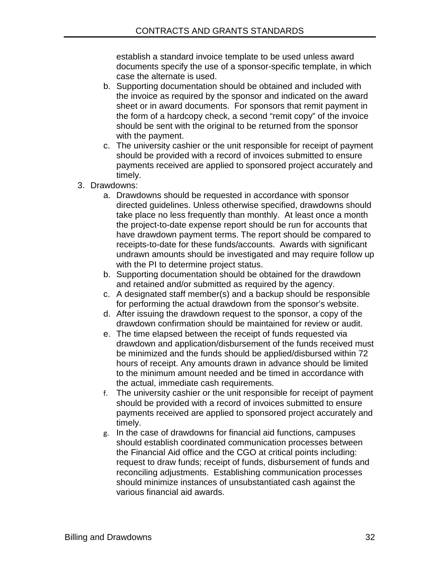establish a standard invoice template to be used unless award documents specify the use of a sponsor-specific template, in which case the alternate is used.

- b. Supporting documentation should be obtained and included with the invoice as required by the sponsor and indicated on the award sheet or in award documents. For sponsors that remit payment in the form of a hardcopy check, a second "remit copy" of the invoice should be sent with the original to be returned from the sponsor with the payment.
- c. The university cashier or the unit responsible for receipt of payment should be provided with a record of invoices submitted to ensure payments received are applied to sponsored project accurately and timely.
- 3. Drawdowns:
	- a. Drawdowns should be requested in accordance with sponsor directed guidelines. Unless otherwise specified, drawdowns should take place no less frequently than monthly. At least once a month the project-to-date expense report should be run for accounts that have drawdown payment terms. The report should be compared to receipts-to-date for these funds/accounts. Awards with significant undrawn amounts should be investigated and may require follow up with the PI to determine project status.
	- b. Supporting documentation should be obtained for the drawdown and retained and/or submitted as required by the agency.
	- c. A designated staff member(s) and a backup should be responsible for performing the actual drawdown from the sponsor's website.
	- d. After issuing the drawdown request to the sponsor, a copy of the drawdown confirmation should be maintained for review or audit.
	- e. The time elapsed between the receipt of funds requested via drawdown and application/disbursement of the funds received must be minimized and the funds should be applied/disbursed within 72 hours of receipt. Any amounts drawn in advance should be limited to the minimum amount needed and be timed in accordance with the actual, immediate cash requirements.
	- f. The university cashier or the unit responsible for receipt of payment should be provided with a record of invoices submitted to ensure payments received are applied to sponsored project accurately and timely.
	- g. In the case of drawdowns for financial aid functions, campuses should establish coordinated communication processes between the Financial Aid office and the CGO at critical points including: request to draw funds; receipt of funds, disbursement of funds and reconciling adjustments. Establishing communication processes should minimize instances of unsubstantiated cash against the various financial aid awards.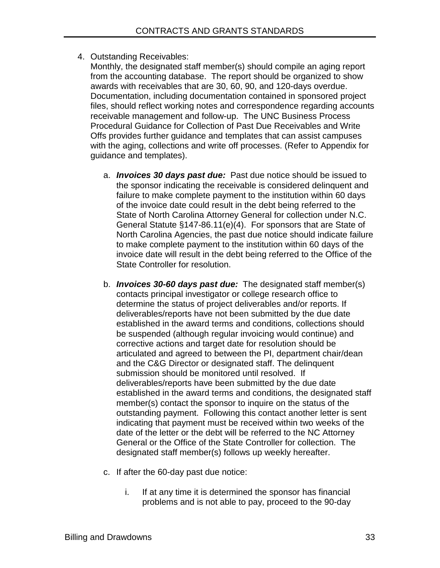4. Outstanding Receivables:

Monthly, the designated staff member(s) should compile an aging report from the accounting database. The report should be organized to show awards with receivables that are 30, 60, 90, and 120-days overdue. Documentation, including documentation contained in sponsored project files, should reflect working notes and correspondence regarding accounts receivable management and follow-up. The UNC Business Process Procedural Guidance for Collection of Past Due Receivables and Write Offs provides further guidance and templates that can assist campuses with the aging, collections and write off processes. (Refer to Appendix for guidance and templates).

- a. *Invoices 30 days past due:* Past due notice should be issued to the sponsor indicating the receivable is considered delinquent and failure to make complete payment to the institution within 60 days of the invoice date could result in the debt being referred to the State of North Carolina Attorney General for collection under N.C. General Statute §147-86.11(e)(4). For sponsors that are State of North Carolina Agencies, the past due notice should indicate failure to make complete payment to the institution within 60 days of the invoice date will result in the debt being referred to the Office of the State Controller for resolution.
- b. *Invoices 30-60 days past due:*The designated staff member(s) contacts principal investigator or college research office to determine the status of project deliverables and/or reports. If deliverables/reports have not been submitted by the due date established in the award terms and conditions, collections should be suspended (although regular invoicing would continue) and corrective actions and target date for resolution should be articulated and agreed to between the PI, department chair/dean and the C&G Director or designated staff. The delinquent submission should be monitored until resolved. If deliverables/reports have been submitted by the due date established in the award terms and conditions, the designated staff member(s) contact the sponsor to inquire on the status of the outstanding payment. Following this contact another letter is sent indicating that payment must be received within two weeks of the date of the letter or the debt will be referred to the NC Attorney General or the Office of the State Controller for collection. The designated staff member(s) follows up weekly hereafter.
- c. If after the 60-day past due notice:
	- i. If at any time it is determined the sponsor has financial problems and is not able to pay, proceed to the 90-day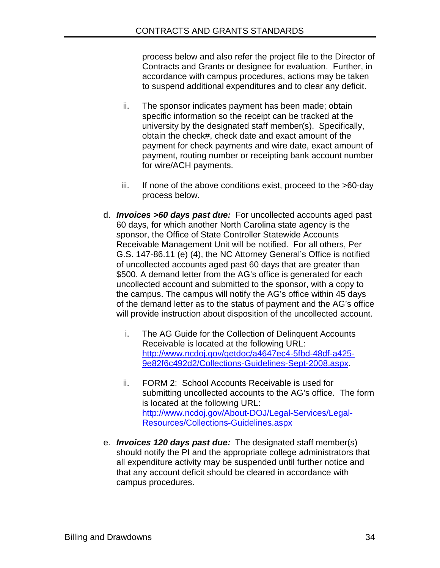process below and also refer the project file to the Director of Contracts and Grants or designee for evaluation. Further, in accordance with campus procedures, actions may be taken to suspend additional expenditures and to clear any deficit.

- ii. The sponsor indicates payment has been made; obtain specific information so the receipt can be tracked at the university by the designated staff member(s). Specifically, obtain the check#, check date and exact amount of the payment for check payments and wire date, exact amount of payment, routing number or receipting bank account number for wire/ACH payments.
- iii. If none of the above conditions exist, proceed to the >60-day process below.
- d. *Invoices >60 days past due:* For uncollected accounts aged past 60 days, for which another North Carolina state agency is the sponsor, the Office of State Controller Statewide Accounts Receivable Management Unit will be notified. For all others, Per G.S. 147-86.11 (e) (4), the NC Attorney General's Office is notified of uncollected accounts aged past 60 days that are greater than \$500. A demand letter from the AG's office is generated for each uncollected account and submitted to the sponsor, with a copy to the campus. The campus will notify the AG's office within 45 days of the demand letter as to the status of payment and the AG's office will provide instruction about disposition of the uncollected account.
	- i. The AG Guide for the Collection of Delinquent Accounts Receivable is located at the following URL: [http://www.ncdoj.gov/getdoc/a4647ec4-5fbd-48df-a425-](http://www.ncdoj.gov/getdoc/a4647ec4-5fbd-48df-a425-9e82f6c492d2/Collections-Guidelines-Sept-2008.aspx) [9e82f6c492d2/Collections-Guidelines-Sept-2008.aspx.](http://www.ncdoj.gov/getdoc/a4647ec4-5fbd-48df-a425-9e82f6c492d2/Collections-Guidelines-Sept-2008.aspx)
	- ii. FORM 2: School Accounts Receivable is used for submitting uncollected accounts to the AG's office. The form is located at the following URL: [http://www.ncdoj.gov/About-DOJ/Legal-Services/Legal-](http://www.ncdoj.gov/About-DOJ/Legal-Services/Legal-Resources/Collections-Guidelines.aspx)[Resources/Collections-Guidelines.aspx](http://www.ncdoj.gov/About-DOJ/Legal-Services/Legal-Resources/Collections-Guidelines.aspx)
- e. *Invoices 120 days past due:* The designated staff member(s) should notify the PI and the appropriate college administrators that all expenditure activity may be suspended until further notice and that any account deficit should be cleared in accordance with campus procedures.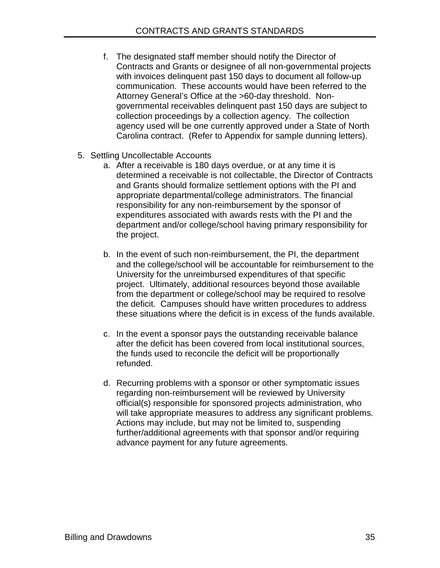- f. The designated staff member should notify the Director of Contracts and Grants or designee of all non-governmental projects with invoices delinquent past 150 days to document all follow-up communication. These accounts would have been referred to the Attorney General's Office at the >60-day threshold. Nongovernmental receivables delinquent past 150 days are subject to collection proceedings by a collection agency. The collection agency used will be one currently approved under a State of North Carolina contract. (Refer to Appendix for sample dunning letters).
- 5. Settling Uncollectable Accounts
	- a. After a receivable is 180 days overdue, or at any time it is determined a receivable is not collectable, the Director of Contracts and Grants should formalize settlement options with the PI and appropriate departmental/college administrators. The financial responsibility for any non-reimbursement by the sponsor of expenditures associated with awards rests with the PI and the department and/or college/school having primary responsibility for the project.
	- b. In the event of such non-reimbursement, the PI, the department and the college/school will be accountable for reimbursement to the University for the unreimbursed expenditures of that specific project. Ultimately, additional resources beyond those available from the department or college/school may be required to resolve the deficit. Campuses should have written procedures to address these situations where the deficit is in excess of the funds available.
	- c. In the event a sponsor pays the outstanding receivable balance after the deficit has been covered from local institutional sources, the funds used to reconcile the deficit will be proportionally refunded.
	- d. Recurring problems with a sponsor or other symptomatic issues regarding non-reimbursement will be reviewed by University official(s) responsible for sponsored projects administration, who will take appropriate measures to address any significant problems. Actions may include, but may not be limited to, suspending further/additional agreements with that sponsor and/or requiring advance payment for any future agreements.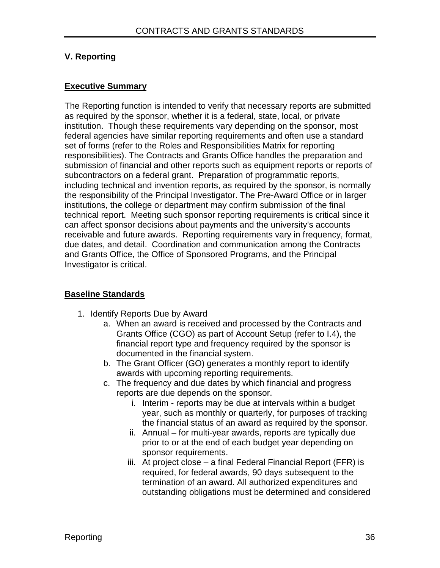# **V. Reporting**

#### **Executive Summary**

The Reporting function is intended to verify that necessary reports are submitted as required by the sponsor, whether it is a federal, state, local, or private institution. Though these requirements vary depending on the sponsor, most federal agencies have similar reporting requirements and often use a standard set of forms (refer to the Roles and Responsibilities Matrix for reporting responsibilities). The Contracts and Grants Office handles the preparation and submission of financial and other reports such as equipment reports or reports of subcontractors on a federal grant. Preparation of programmatic reports, including technical and invention reports, as required by the sponsor, is normally the responsibility of the Principal Investigator. The Pre-Award Office or in larger institutions, the college or department may confirm submission of the final technical report. Meeting such sponsor reporting requirements is critical since it can affect sponsor decisions about payments and the university's accounts receivable and future awards. Reporting requirements vary in frequency, format, due dates, and detail. Coordination and communication among the Contracts and Grants Office, the Office of Sponsored Programs, and the Principal Investigator is critical.

## **Baseline Standards**

- 1. Identify Reports Due by Award
	- a. When an award is received and processed by the Contracts and Grants Office (CGO) as part of Account Setup (refer to I.4), the financial report type and frequency required by the sponsor is documented in the financial system.
	- b. The Grant Officer (GO) generates a monthly report to identify awards with upcoming reporting requirements.
	- c. The frequency and due dates by which financial and progress reports are due depends on the sponsor.
		- i. Interim reports may be due at intervals within a budget year, such as monthly or quarterly, for purposes of tracking the financial status of an award as required by the sponsor.
		- ii. Annual for multi-year awards, reports are typically due prior to or at the end of each budget year depending on sponsor requirements.
		- iii. At project close a final Federal Financial Report (FFR) is required, for federal awards, 90 days subsequent to the termination of an award. All authorized expenditures and outstanding obligations must be determined and considered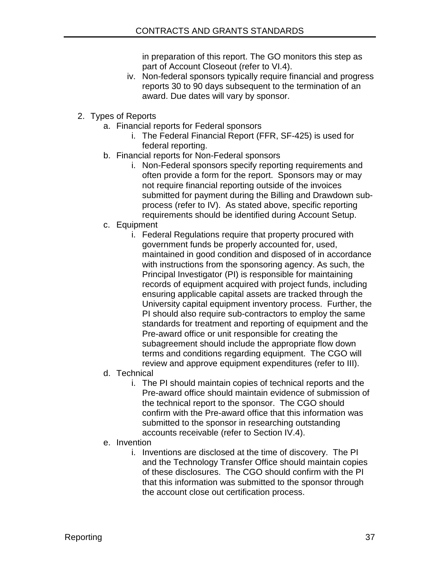in preparation of this report. The GO monitors this step as part of Account Closeout (refer to VI.4).

- iv. Non-federal sponsors typically require financial and progress reports 30 to 90 days subsequent to the termination of an award. Due dates will vary by sponsor.
- 2. Types of Reports
	- a. Financial reports for Federal sponsors
		- i. The Federal Financial Report (FFR, SF-425) is used for federal reporting.
	- b. Financial reports for Non-Federal sponsors
		- i. Non-Federal sponsors specify reporting requirements and often provide a form for the report. Sponsors may or may not require financial reporting outside of the invoices submitted for payment during the Billing and Drawdown subprocess (refer to IV). As stated above, specific reporting requirements should be identified during Account Setup.
	- c. Equipment
		- i. Federal Regulations require that property procured with government funds be properly accounted for, used, maintained in good condition and disposed of in accordance with instructions from the sponsoring agency. As such, the Principal Investigator (PI) is responsible for maintaining records of equipment acquired with project funds, including ensuring applicable capital assets are tracked through the University capital equipment inventory process. Further, the PI should also require sub-contractors to employ the same standards for treatment and reporting of equipment and the Pre-award office or unit responsible for creating the subagreement should include the appropriate flow down terms and conditions regarding equipment. The CGO will review and approve equipment expenditures (refer to III).
	- d. Technical
		- i. The PI should maintain copies of technical reports and the Pre-award office should maintain evidence of submission of the technical report to the sponsor. The CGO should confirm with the Pre-award office that this information was submitted to the sponsor in researching outstanding accounts receivable (refer to Section IV.4).
	- e. Invention
		- i. Inventions are disclosed at the time of discovery. The PI and the Technology Transfer Office should maintain copies of these disclosures. The CGO should confirm with the PI that this information was submitted to the sponsor through the account close out certification process.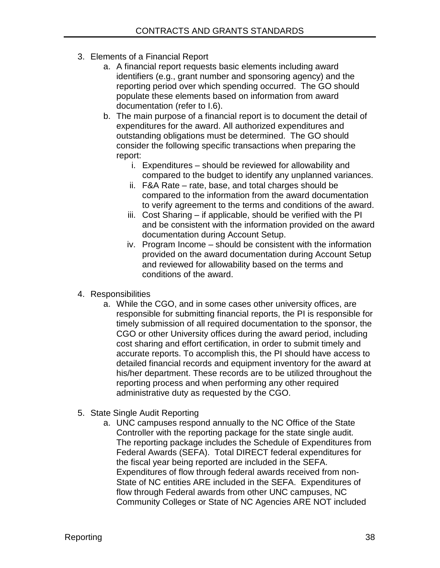- 3. Elements of a Financial Report
	- a. A financial report requests basic elements including award identifiers (e.g., grant number and sponsoring agency) and the reporting period over which spending occurred. The GO should populate these elements based on information from award documentation (refer to I.6).
	- b. The main purpose of a financial report is to document the detail of expenditures for the award. All authorized expenditures and outstanding obligations must be determined. The GO should consider the following specific transactions when preparing the report:
		- i. Expenditures should be reviewed for allowability and compared to the budget to identify any unplanned variances.
		- ii. F&A Rate rate, base, and total charges should be compared to the information from the award documentation to verify agreement to the terms and conditions of the award.
		- iii. Cost Sharing if applicable, should be verified with the PI and be consistent with the information provided on the award documentation during Account Setup.
		- iv. Program Income should be consistent with the information provided on the award documentation during Account Setup and reviewed for allowability based on the terms and conditions of the award.
- 4. Responsibilities
	- a. While the CGO, and in some cases other university offices, are responsible for submitting financial reports, the PI is responsible for timely submission of all required documentation to the sponsor, the CGO or other University offices during the award period, including cost sharing and effort certification, in order to submit timely and accurate reports. To accomplish this, the PI should have access to detailed financial records and equipment inventory for the award at his/her department. These records are to be utilized throughout the reporting process and when performing any other required administrative duty as requested by the CGO.
- 5. State Single Audit Reporting
	- a. UNC campuses respond annually to the NC Office of the State Controller with the reporting package for the state single audit. The reporting package includes the Schedule of Expenditures from Federal Awards (SEFA). Total DIRECT federal expenditures for the fiscal year being reported are included in the SEFA. Expenditures of flow through federal awards received from non-State of NC entities ARE included in the SEFA. Expenditures of flow through Federal awards from other UNC campuses, NC Community Colleges or State of NC Agencies ARE NOT included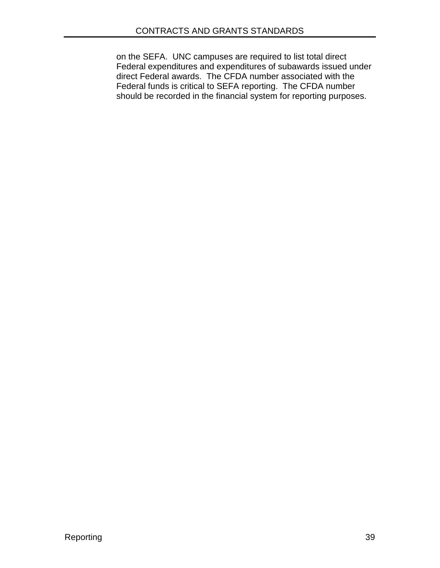on the SEFA. UNC campuses are required to list total direct Federal expenditures and expenditures of subawards issued under direct Federal awards. The CFDA number associated with the Federal funds is critical to SEFA reporting. The CFDA number should be recorded in the financial system for reporting purposes.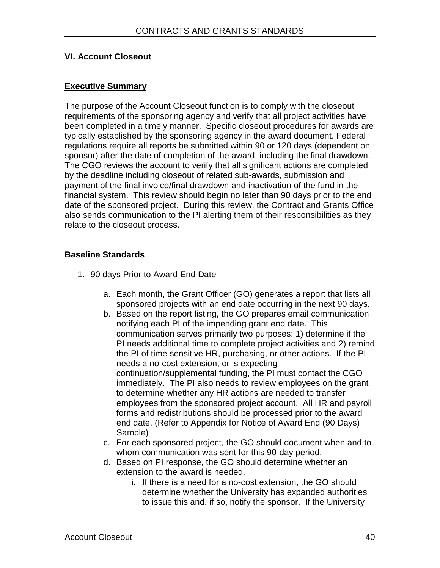#### **VI. Account Closeout**

#### **Executive Summary**

The purpose of the Account Closeout function is to comply with the closeout requirements of the sponsoring agency and verify that all project activities have been completed in a timely manner. Specific closeout procedures for awards are typically established by the sponsoring agency in the award document. Federal regulations require all reports be submitted within 90 or 120 days (dependent on sponsor) after the date of completion of the award, including the final drawdown. The CGO reviews the account to verify that all significant actions are completed by the deadline including closeout of related sub-awards, submission and payment of the final invoice/final drawdown and inactivation of the fund in the financial system. This review should begin no later than 90 days prior to the end date of the sponsored project. During this review, the Contract and Grants Office also sends communication to the PI alerting them of their responsibilities as they relate to the closeout process.

#### **Baseline Standards**

- 1. 90 days Prior to Award End Date
	- a. Each month, the Grant Officer (GO) generates a report that lists all sponsored projects with an end date occurring in the next 90 days.
	- b. Based on the report listing, the GO prepares email communication notifying each PI of the impending grant end date. This communication serves primarily two purposes: 1) determine if the PI needs additional time to complete project activities and 2) remind the PI of time sensitive HR, purchasing, or other actions. If the PI needs a no-cost extension, or is expecting continuation/supplemental funding, the PI must contact the CGO immediately. The PI also needs to review employees on the grant to determine whether any HR actions are needed to transfer employees from the sponsored project account. All HR and payroll forms and redistributions should be processed prior to the award end date. (Refer to Appendix for Notice of Award End (90 Days) Sample)
	- c. For each sponsored project, the GO should document when and to whom communication was sent for this 90-day period.
	- d. Based on PI response, the GO should determine whether an extension to the award is needed.
		- i. If there is a need for a no-cost extension, the GO should determine whether the University has expanded authorities to issue this and, if so, notify the sponsor. If the University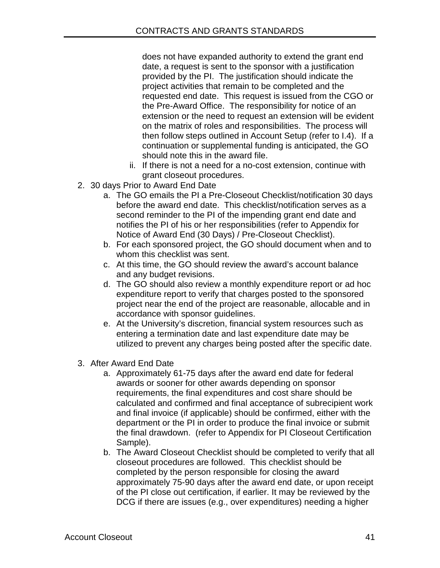does not have expanded authority to extend the grant end date, a request is sent to the sponsor with a justification provided by the PI. The justification should indicate the project activities that remain to be completed and the requested end date. This request is issued from the CGO or the Pre-Award Office. The responsibility for notice of an extension or the need to request an extension will be evident on the matrix of roles and responsibilities. The process will then follow steps outlined in Account Setup (refer to I.4). If a continuation or supplemental funding is anticipated, the GO should note this in the award file.

- ii. If there is not a need for a no-cost extension, continue with grant closeout procedures.
- 2. 30 days Prior to Award End Date
	- a. The GO emails the PI a Pre-Closeout Checklist/notification 30 days before the award end date. This checklist/notification serves as a second reminder to the PI of the impending grant end date and notifies the PI of his or her responsibilities (refer to Appendix for Notice of Award End (30 Days) / Pre-Closeout Checklist).
	- b. For each sponsored project, the GO should document when and to whom this checklist was sent.
	- c. At this time, the GO should review the award's account balance and any budget revisions.
	- d. The GO should also review a monthly expenditure report or ad hoc expenditure report to verify that charges posted to the sponsored project near the end of the project are reasonable, allocable and in accordance with sponsor guidelines.
	- e. At the University's discretion, financial system resources such as entering a termination date and last expenditure date may be utilized to prevent any charges being posted after the specific date.
- 3. After Award End Date
	- a. Approximately 61-75 days after the award end date for federal awards or sooner for other awards depending on sponsor requirements, the final expenditures and cost share should be calculated and confirmed and final acceptance of subrecipient work and final invoice (if applicable) should be confirmed, either with the department or the PI in order to produce the final invoice or submit the final drawdown. (refer to Appendix for PI Closeout Certification Sample).
	- b. The Award Closeout Checklist should be completed to verify that all closeout procedures are followed. This checklist should be completed by the person responsible for closing the award approximately 75-90 days after the award end date, or upon receipt of the PI close out certification, if earlier. It may be reviewed by the DCG if there are issues (e.g., over expenditures) needing a higher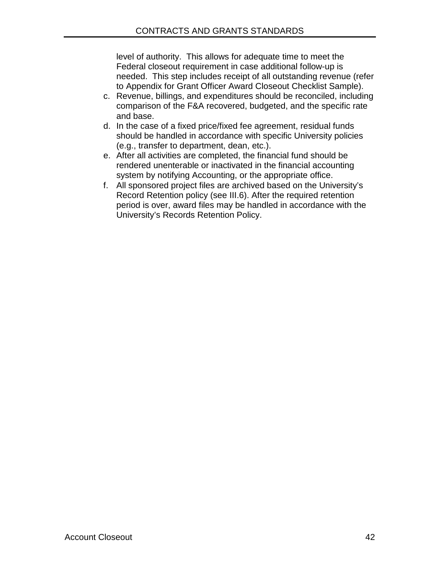level of authority. This allows for adequate time to meet the Federal closeout requirement in case additional follow-up is needed. This step includes receipt of all outstanding revenue (refer to Appendix for Grant Officer Award Closeout Checklist Sample).

- c. Revenue, billings, and expenditures should be reconciled, including comparison of the F&A recovered, budgeted, and the specific rate and base.
- d. In the case of a fixed price/fixed fee agreement, residual funds should be handled in accordance with specific University policies (e.g., transfer to department, dean, etc.).
- e. After all activities are completed, the financial fund should be rendered unenterable or inactivated in the financial accounting system by notifying Accounting, or the appropriate office.
- f. All sponsored project files are archived based on the University's Record Retention policy (see III.6). After the required retention period is over, award files may be handled in accordance with the University's Records Retention Policy.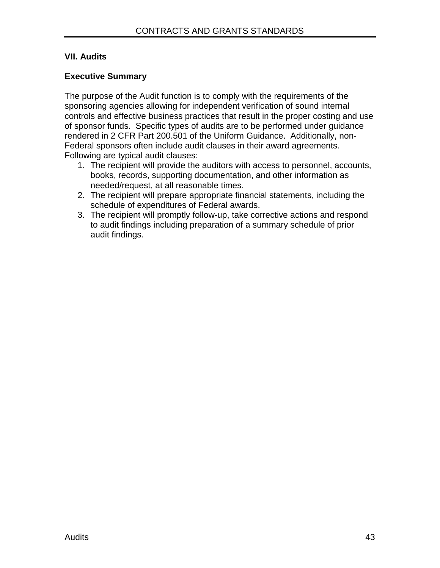# **VII. Audits**

# **Executive Summary**

The purpose of the Audit function is to comply with the requirements of the sponsoring agencies allowing for independent verification of sound internal controls and effective business practices that result in the proper costing and use of sponsor funds. Specific types of audits are to be performed under guidance rendered in 2 CFR Part 200.501 of the Uniform Guidance. Additionally, non-Federal sponsors often include audit clauses in their award agreements. Following are typical audit clauses:

- 1. The recipient will provide the auditors with access to personnel, accounts, books, records, supporting documentation, and other information as needed/request, at all reasonable times.
- 2. The recipient will prepare appropriate financial statements, including the schedule of expenditures of Federal awards.
- 3. The recipient will promptly follow-up, take corrective actions and respond to audit findings including preparation of a summary schedule of prior audit findings.